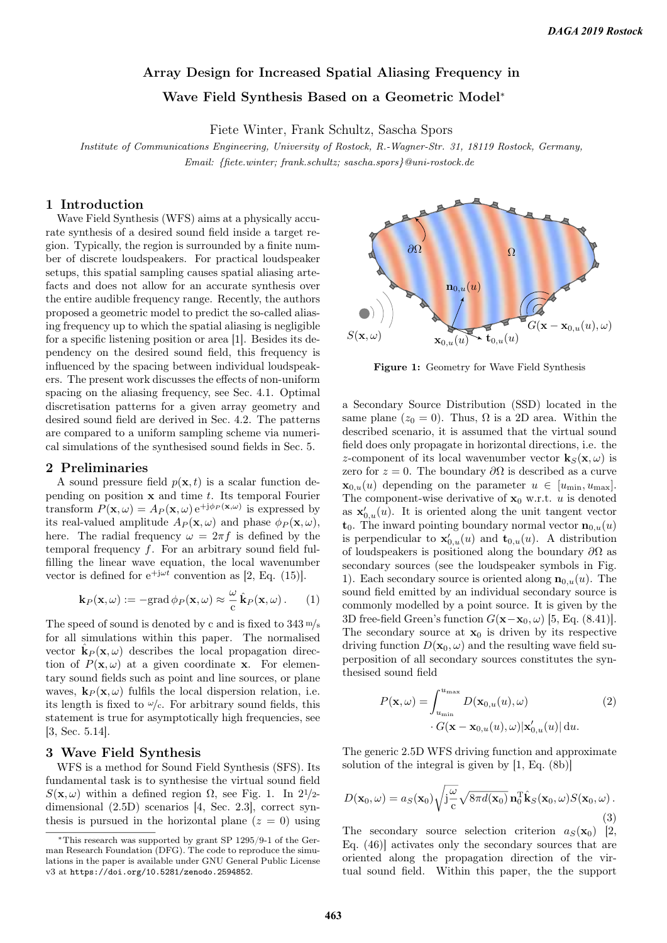# Array Design for Increased Spatial Aliasing Frequency in Wave Field Synthesis Based on a Geometric Model<sup>∗</sup>

Fiete Winter, Frank Schultz, Sascha Spors

Institute of Communications Engineering, University of Rostock, R.-Wagner-Str. 31, 18119 Rostock, Germany, Email: {fiete.winter; frank.schultz; sascha.spors}@uni-rostock.de

## 1 Introduction

Wave Field Synthesis (WFS) aims at a physically accurate synthesis of a desired sound field inside a target region. Typically, the region is surrounded by a finite number of discrete loudspeakers. For practical loudspeaker setups, this spatial sampling causes spatial aliasing artefacts and does not allow for an accurate synthesis over the entire audible frequency range. Recently, the authors proposed a geometric model to predict the so-called aliasing frequency up to which the spatial aliasing is negligible for a specific listening position or area [1]. Besides its dependency on the desired sound field, this frequency is influenced by the spacing between individual loudspeakers. The present work discusses the effects of non-uniform spacing on the aliasing frequency, see Sec. 4.1. Optimal discretisation patterns for a given array geometry and desired sound field are derived in Sec. 4.2. The patterns are compared to a uniform sampling scheme via numerical simulations of the synthesised sound fields in Sec. 5.

### 2 Preliminaries

A sound pressure field  $p(\mathbf{x}, t)$  is a scalar function depending on position  $x$  and time  $t$ . Its temporal Fourier transform  $P(\mathbf{x}, \omega) = A_P(\mathbf{x}, \omega) e^{i \phi_P(\mathbf{x}, \omega)}$  is expressed by its real-valued amplitude  $A_P(\mathbf{x}, \omega)$  and phase  $\phi_P(\mathbf{x}, \omega)$ , here. The radial frequency  $\omega = 2\pi f$  is defined by the temporal frequency f. For an arbitrary sound field fulfilling the linear wave equation, the local wavenumber vector is defined for  $e^{+j\omega t}$  convention as [2, Eq. (15)].

$$
\mathbf{k}_P(\mathbf{x},\omega) := -\text{grad}\,\phi_P(\mathbf{x},\omega) \approx \frac{\omega}{c}\,\hat{\mathbf{k}}_P(\mathbf{x},\omega). \qquad (1)
$$

The speed of sound is denoted by c and is fixed to  $343 \frac{\text{m}}{\text{s}}$ for all simulations within this paper. The normalised vector  $\hat{\mathbf{k}}_P(\mathbf{x}, \omega)$  describes the local propagation direction of  $P(\mathbf{x}, \omega)$  at a given coordinate **x**. For elementary sound fields such as point and line sources, or plane waves,  $\mathbf{k}_P(\mathbf{x}, \omega)$  fulfils the local dispersion relation, i.e. its length is fixed to  $\omega/c$ . For arbitrary sound fields, this statement is true for asymptotically high frequencies, see [3, Sec. 5.14].

## 3 Wave Field Synthesis

WFS is a method for Sound Field Synthesis (SFS). Its fundamental task is to synthesise the virtual sound field  $S(\mathbf{x}, \omega)$  within a defined region  $\Omega$ , see Fig. 1. In 2<sup>1</sup>/2dimensional (2.5D) scenarios [4, Sec. 2.3], correct synthesis is pursued in the horizontal plane  $(z = 0)$  using



Figure 1: Geometry for Wave Field Synthesis

a Secondary Source Distribution (SSD) located in the same plane ( $z_0 = 0$ ). Thus,  $\Omega$  is a 2D area. Within the described scenario, it is assumed that the virtual sound field does only propagate in horizontal directions, i.e. the z-component of its local wavenumber vector  $\mathbf{k}_{S}(\mathbf{x}, \omega)$  is zero for  $z = 0$ . The boundary  $\partial\Omega$  is described as a curve  $\mathbf{x}_{0,u}(u)$  depending on the parameter  $u \in [u_{\min}, u_{\max}]$ . The component-wise derivative of  $x_0$  w.r.t. u is denoted as  $\mathbf{x}'_{0,u}(u)$ . It is oriented along the unit tangent vector  $\mathbf{t}_0$ . The inward pointing boundary normal vector  $\mathbf{n}_{0,u}(u)$ is perpendicular to  $\mathbf{x}'_{0,u}(u)$  and  $\mathbf{t}_{0,u}(u)$ . A distribution of loudspeakers is positioned along the boundary  $\partial\Omega$  as secondary sources (see the loudspeaker symbols in Fig. 1). Each secondary source is oriented along  $\mathbf{n}_{0,u}(u)$ . The sound field emitted by an individual secondary source is commonly modelled by a point source. It is given by the 3D free-field Green's function  $G(\mathbf{x}-\mathbf{x}_0,\omega)$  [5, Eq. (8.41)]. The secondary source at  $x_0$  is driven by its respective driving function  $D(\mathbf{x}_0, \omega)$  and the resulting wave field superposition of all secondary sources constitutes the synthesised sound field

$$
P(\mathbf{x}, \omega) = \int_{u_{\min}}^{u_{\max}} D(\mathbf{x}_{0,u}(u), \omega) \tag{2}
$$

$$
\cdot G(\mathbf{x} - \mathbf{x}_{0,u}(u), \omega) |\mathbf{x}'_{0,u}(u)| du.
$$

The generic 2.5D WFS driving function and approximate solution of the integral is given by [1, Eq. (8b)]

$$
D(\mathbf{x}_0, \omega) = a_S(\mathbf{x}_0) \sqrt{\mathbf{j}\frac{\omega}{c}} \sqrt{8\pi d(\mathbf{x}_0)} \mathbf{n}_0^{\mathrm{T}} \hat{\mathbf{k}}_S(\mathbf{x}_0, \omega) S(\mathbf{x}_0, \omega).
$$
\n(3)

The secondary source selection criterion  $a_S(\mathbf{x}_0)$  [2, Eq. (46)] activates only the secondary sources that are oriented along the propagation direction of the virtual sound field. Within this paper, the the support

<sup>∗</sup>This research was supported by grant SP 1295/9-1 of the German Research Foundation (DFG). The code to reproduce the simulations in the paper is available under GNU General Public License v3 at https://doi.org/10.5281/zenodo.2594852.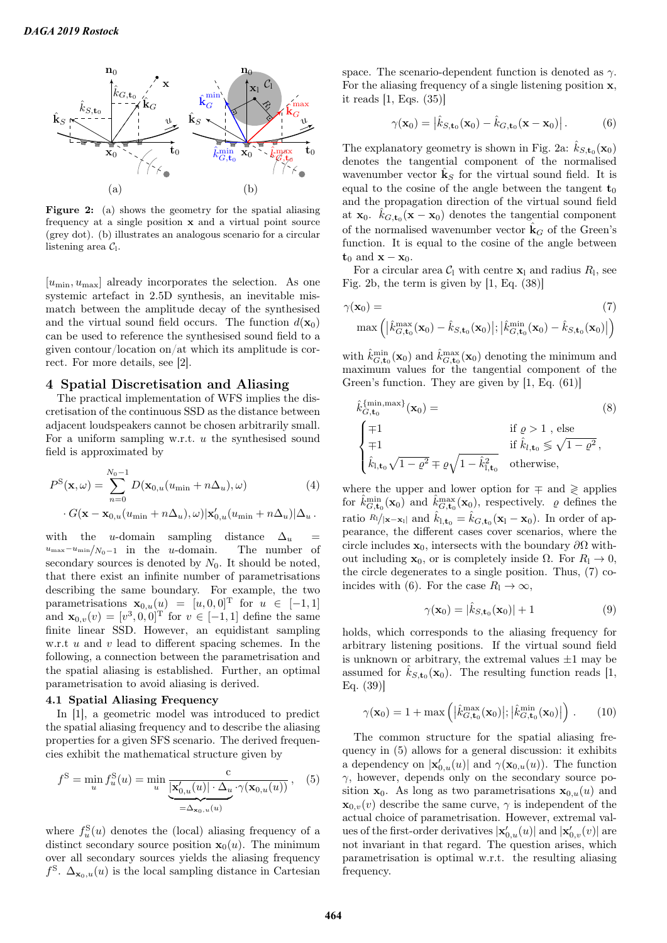

Figure 2: (a) shows the geometry for the spatial aliasing frequency at a single position x and a virtual point source (grey dot). (b) illustrates an analogous scenario for a circular listening area  $C_1$ .

 $[u_{\min}, u_{\max}]$  already incorporates the selection. As one systemic artefact in 2.5D synthesis, an inevitable mismatch between the amplitude decay of the synthesised and the virtual sound field occurs. The function  $d(\mathbf{x}_0)$ can be used to reference the synthesised sound field to a given contour/location on/at which its amplitude is correct. For more details, see [2].

## 4 Spatial Discretisation and Aliasing

The practical implementation of WFS implies the discretisation of the continuous SSD as the distance between adjacent loudspeakers cannot be chosen arbitrarily small. For a uniform sampling w.r.t. u the synthesised sound field is approximated by

$$
P^{S}(\mathbf{x}, \omega) = \sum_{n=0}^{N_0 - 1} D(\mathbf{x}_{0, u}(u_{\min} + n\Delta_u), \omega)
$$
(4)  

$$
\cdot G(\mathbf{x} - \mathbf{x}_{0, u}(u_{\min} + n\Delta_u), \omega) | \mathbf{x}'_{0, u}(u_{\min} + n\Delta_u) | \Delta_u.
$$

with the u-domain sampling distance  $\Delta_u$  =  $u_{\text{max}}-u_{\text{min}}/N_0-1$  in the u-domain. The number of secondary sources is denoted by  $N_0$ . It should be noted, that there exist an infinite number of parametrisations describing the same boundary. For example, the two parametrisations  $\mathbf{x}_{0,u}(u) = [u, 0, 0]^{\text{T}}$  for  $u \in [-1, 1]$ and  $\mathbf{x}_{0,v}(v) = [v^3, 0, 0]^T$  for  $v \in [-1, 1]$  define the same finite linear SSD. However, an equidistant sampling w.r.t  $u$  and  $v$  lead to different spacing schemes. In the following, a connection between the parametrisation and the spatial aliasing is established. Further, an optimal parametrisation to avoid aliasing is derived.

## 4.1 Spatial Aliasing Frequency

In [1], a geometric model was introduced to predict the spatial aliasing frequency and to describe the aliasing properties for a given SFS scenario. The derived frequencies exhibit the mathematical structure given by

$$
f^{S} = \min_{u} f_{u}^{S}(u) = \min_{u} \underbrace{\frac{c}{\left[\mathbf{x}_{0,u}'(u)\right] \cdot \Delta_{u} \cdot \gamma(\mathbf{x}_{0,u}(u))}}_{=\Delta_{\mathbf{x}_{0},u}(u)}, \quad (5)
$$

where  $f_u^{\rm S}(u)$  denotes the (local) aliasing frequency of a distinct secondary source position  $\mathbf{x}_0(u)$ . The minimum over all secondary sources yields the aliasing frequency  $f^{\text{S}}$ .  $\Delta_{\mathbf{x}_0, u}(u)$  is the local sampling distance in Cartesian space. The scenario-dependent function is denoted as  $\gamma$ . For the aliasing frequency of a single listening position x, it reads [1, Eqs. (35)]

$$
\gamma(\mathbf{x}_0) = \left| \hat{k}_{S,\mathbf{t}_0}(\mathbf{x}_0) - \hat{k}_{G,\mathbf{t}_0}(\mathbf{x} - \mathbf{x}_0) \right|.
$$
 (6)

The explanatory geometry is shown in Fig. 2a:  $\hat{k}_{S,\mathbf{t}_0}(\mathbf{x}_0)$ denotes the tangential component of the normalised wavenumber vector  $\hat{\mathbf{k}}_S$  for the virtual sound field. It is equal to the cosine of the angle between the tangent  $t_0$ and the propagation direction of the virtual sound field at  $\mathbf{x}_0$ .  $\hat{k}_{G,\mathbf{t}_0}(\mathbf{x}-\mathbf{x}_0)$  denotes the tangential component of the normalised wavenumber vector  $\mathbf{k}_G$  of the Green's function. It is equal to the cosine of the angle between  $t_0$  and  $x - x_0$ .

For a circular area  $C_1$  with centre  $\mathbf{x}_1$  and radius  $R_1$ , see Fig. 2b, the term is given by [1, Eq. (38)]

$$
\gamma(\mathbf{x}_0) = \text{max}\left( \left| \hat{k}_{G,\mathbf{t}_0}^{\max}(\mathbf{x}_0) - \hat{k}_{S,\mathbf{t}_0}(\mathbf{x}_0) \right|; \left| \hat{k}_{G,\mathbf{t}_0}^{\min}(\mathbf{x}_0) - \hat{k}_{S,\mathbf{t}_0}(\mathbf{x}_0) \right| \right)
$$
\n(7)

with  $\hat{k}_{G,\mathbf{t}_0}^{\min}(\mathbf{x}_0)$  and  $\hat{k}_{G,\mathbf{t}_0}^{\max}(\mathbf{x}_0)$  denoting the minimum and maximum values for the tangential component of the Green's function. They are given by [1, Eq. (61)]

$$
\hat{k}_{G,\mathbf{t}_0}^{\{\min,\max\}}(\mathbf{x}_0) =
$$
\n
$$
\begin{cases}\n\mp 1 & \text{if } \varrho > 1, \text{ else} \\
\mp 1 & \text{if } \hat{k}_{l,\mathbf{t}_0} \leq \sqrt{1 - \varrho^2}, \\
\hat{k}_{l,\mathbf{t}_0} \sqrt{1 - \varrho^2} \mp \varrho \sqrt{1 - \hat{k}_{l,\mathbf{t}_0}^2} & \text{otherwise,} \n\end{cases}
$$
\n(8)

where the upper and lower option for  $\mp$  and  $\geq$  applies for  $\hat{k}_{G,\mathbf{t}_0}^{\min}(\mathbf{x}_0)$  and  $\hat{k}_{G,\mathbf{t}_0}^{\max}(\mathbf{x}_0)$ , respectively.  $\rho$  defines the ratio  $R_1/|{\bf x}-{\bf x}_1|$  and  $\hat{k}_{1,\mathbf{t}_0} = \hat{k}_{G,\mathbf{t}_0}({\bf x}_1 - {\bf x}_0)$ . In order of appearance, the different cases cover scenarios, where the circle includes  $\mathbf{x}_0$ , intersects with the boundary  $\partial\Omega$  without including  $\mathbf{x}_0$ , or is completely inside Ω. For  $R_1 \to 0$ , the circle degenerates to a single position. Thus, (7) coincides with (6). For the case  $R_1 \rightarrow \infty$ ,

$$
\gamma(\mathbf{x}_0) = |\hat{k}_{S,\mathbf{t}_0}(\mathbf{x}_0)| + 1 \tag{9}
$$

holds, which corresponds to the aliasing frequency for arbitrary listening positions. If the virtual sound field is unknown or arbitrary, the extremal values  $\pm 1$  may be assumed for  $\hat{k}_{S,\mathbf{t}_0}(\mathbf{x}_0)$ . The resulting function reads [1, Eq. (39)]

$$
\gamma(\mathbf{x}_0) = 1 + \max\left( \left| \hat{k}_{G, \mathbf{t}_0}^{\max}(\mathbf{x}_0) \right|; \left| \hat{k}_{G, \mathbf{t}_0}^{\min}(\mathbf{x}_0) \right| \right). \tag{10}
$$

The common structure for the spatial aliasing frequency in (5) allows for a general discussion: it exhibits a dependency on  $|\mathbf{x}'_{0,u}(u)|$  and  $\gamma(\mathbf{x}_{0,u}(u))$ . The function  $\gamma$ , however, depends only on the secondary source position  $x_0$ . As long as two parametrisations  $x_{0,u}(u)$  and  $\mathbf{x}_{0,v}(v)$  describe the same curve,  $\gamma$  is independent of the actual choice of parametrisation. However, extremal values of the first-order derivatives  $|\mathbf{x}'_{0,u}(u)|$  and  $|\mathbf{x}'_{0,v}(v)|$  are not invariant in that regard. The question arises, which parametrisation is optimal w.r.t. the resulting aliasing frequency.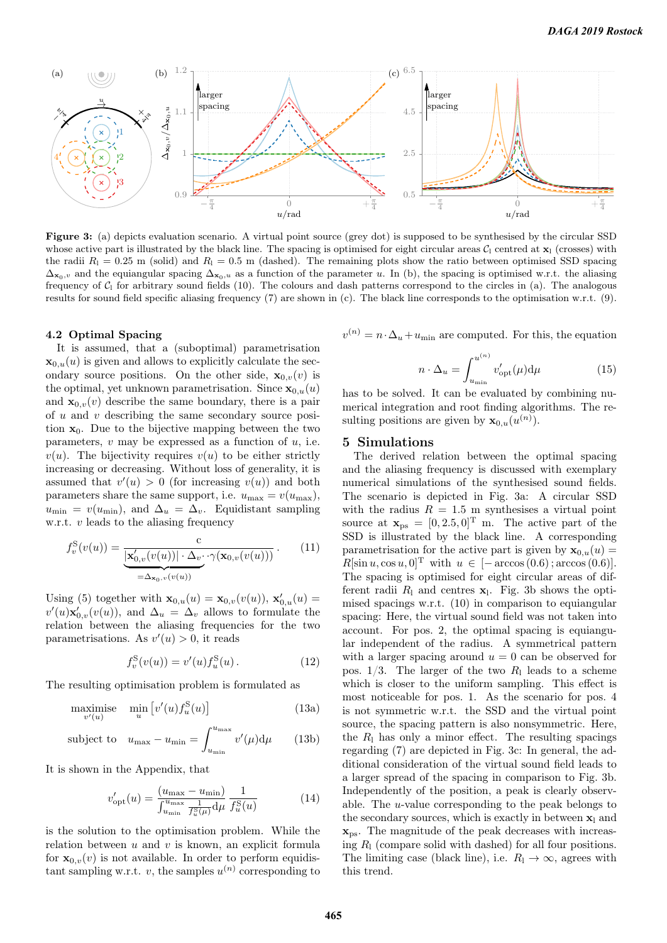

Figure 3: (a) depicts evaluation scenario. A virtual point source (grey dot) is supposed to be synthesised by the circular SSD whose active part is illustrated by the black line. The spacing is optimised for eight circular areas  $C_1$  centred at  $\mathbf{x}_1$  (crosses) with the radii  $R_1 = 0.25$  m (solid) and  $R_1 = 0.5$  m (dashed). The remaining plots show the ratio between optimised SSD spacing  $\Delta_{\mathbf{x}_0,v}$  and the equiangular spacing  $\Delta_{\mathbf{x}_0,u}$  as a function of the parameter u. In (b), the spacing is optimised w.r.t. the aliasing frequency of  $C_1$  for arbitrary sound fields (10). The colours and dash patterns correspond to the circles in (a). The analogous results for sound field specific aliasing frequency (7) are shown in (c). The black line corresponds to the optimisation w.r.t. (9).

#### 4.2 Optimal Spacing

It is assumed, that a (suboptimal) parametrisation  $\mathbf{x}_{0,u}(u)$  is given and allows to explicitly calculate the secondary source positions. On the other side,  $\mathbf{x}_{0,v}(v)$  is the optimal, yet unknown parametrisation. Since  $\mathbf{x}_{0,u}(u)$ and  $\mathbf{x}_{0,v}(v)$  describe the same boundary, there is a pair of  $u$  and  $v$  describing the same secondary source position  $x_0$ . Due to the bijective mapping between the two parameters,  $v$  may be expressed as a function of  $u$ , i.e.  $v(u)$ . The bijectivity requires  $v(u)$  to be either strictly increasing or decreasing. Without loss of generality, it is assumed that  $v'(u) > 0$  (for increasing  $v(u)$ ) and both parameters share the same support, i.e.  $u_{\text{max}} = v(u_{\text{max}})$ ,  $u_{\min} = v(u_{\min})$ , and  $\Delta_u = \Delta_v$ . Equidistant sampling w.r.t.  $v$  leads to the aliasing frequency

$$
f_v^{\mathcal{S}}(v(u)) = \underbrace{\frac{\mathbf{c}}{|\mathbf{x}'_{0,v}(v(u))| \cdot \Delta_v \cdot \gamma(\mathbf{x}_{0,v}(v(u)))}}_{=\Delta_{\mathbf{x}_0,v}(v(u))}.
$$
 (11)

Using (5) together with  $\mathbf{x}_{0,u}(u) = \mathbf{x}_{0,v}(v(u))$ ,  $\mathbf{x}'_{0,u}(u) =$  $v'(u)\mathbf{x}'_{0,v}(v(u))$ , and  $\Delta_u = \Delta_v$  allows to formulate the relation between the aliasing frequencies for the two parametrisations. As  $v'(u) > 0$ , it reads

$$
f_v^{\rm S}(v(u)) = v'(u) f_u^{\rm S}(u) \,. \tag{12}
$$

The resulting optimisation problem is formulated as

$$
\underset{v'(u)}{\text{maximise}} \quad \underset{u}{\text{min}} \left[ v'(u) f_u^{\text{S}}(u) \right] \tag{13a}
$$

subject to 
$$
u_{\text{max}} - u_{\text{min}} = \int_{u_{\text{min}}}^{u_{\text{max}}} v'(\mu) d\mu
$$
 (13b)

It is shown in the Appendix, that

$$
v'_{\rm opt}(u) = \frac{(u_{\rm max} - u_{\rm min})}{\int_{u_{\rm min}}^{u_{\rm max}} \frac{1}{f_u^S(\mu)} d\mu} \frac{1}{f_u^S(u)} \tag{14}
$$

is the solution to the optimisation problem. While the relation between  $u$  and  $v$  is known, an explicit formula for  $\mathbf{x}_{0,v}(v)$  is not available. In order to perform equidistant sampling w.r.t. v, the samples  $u^{(n)}$  corresponding to  $v^{(n)} = n \cdot \Delta_u + u_{\text{min}}$  are computed. For this, the equation

$$
n \cdot \Delta_u = \int_{u_{\min}}^{u^{(n)}} v_{\text{opt}}'(\mu) d\mu \tag{15}
$$

has to be solved. It can be evaluated by combining numerical integration and root finding algorithms. The resulting positions are given by  $\mathbf{x}_{0,u}(u^{(n)})$ .

#### 5 Simulations

The derived relation between the optimal spacing and the aliasing frequency is discussed with exemplary numerical simulations of the synthesised sound fields. The scenario is depicted in Fig. 3a: A circular SSD with the radius  $R = 1.5$  m synthesises a virtual point source at  $\mathbf{x}_{ps} = [0, 2.5, 0]^T$  m. The active part of the SSD is illustrated by the black line. A corresponding parametrisation for the active part is given by  $\mathbf{x}_{0,u}(u) =$  $R[\sin u, \cos u, 0]$ <sup>T</sup> with  $u \in [-\arccos(0.6); \arccos(0.6)].$ The spacing is optimised for eight circular areas of different radii  $R_1$  and centres  $\mathbf{x}_1$ . Fig. 3b shows the optimised spacings w.r.t. (10) in comparison to equiangular spacing: Here, the virtual sound field was not taken into account. For pos. 2, the optimal spacing is equiangular independent of the radius. A symmetrical pattern with a larger spacing around  $u = 0$  can be observed for pos.  $1/3$ . The larger of the two  $R_1$  leads to a scheme which is closer to the uniform sampling. This effect is most noticeable for pos. 1. As the scenario for pos. 4 is not symmetric w.r.t. the SSD and the virtual point source, the spacing pattern is also nonsymmetric. Here, the  $R_1$  has only a minor effect. The resulting spacings regarding (7) are depicted in Fig. 3c: In general, the additional consideration of the virtual sound field leads to a larger spread of the spacing in comparison to Fig. 3b. Independently of the position, a peak is clearly observable. The u-value corresponding to the peak belongs to the secondary sources, which is exactly in between  $x_1$  and  $\mathbf{x}_{\text{ps}}$ . The magnitude of the peak decreases with increasing  $R_1$  (compare solid with dashed) for all four positions. The limiting case (black line), i.e.  $R_1 \rightarrow \infty$ , agrees with this trend.